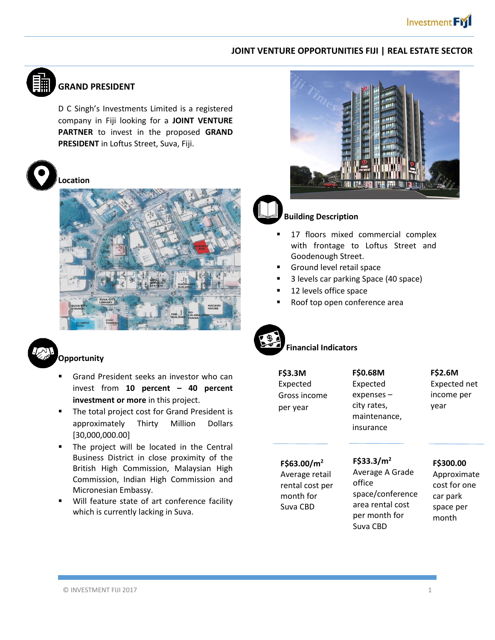## **JOINT VENTURE OPPORTUNITIES FIJI | REAL ESTATE SECTOR**



# **GRAND PRESIDENT**

D C Singh's Investments Limited is a registered company in Fiji looking for a **JOINT VENTURE PARTNER** to invest in the proposed **GRAND PRESIDENT** in Loftus Street, Suva, Fiji.



**Location** 





## **Opportunity**

- Grand President seeks an investor who can invest from **10 percent – 40 percent investment or more** in this project.
- The total project cost for Grand President is approximately Thirty Million Dollars [30,000,000.00]
- The project will be located in the Central Business District in close proximity of the British High Commission, Malaysian High Commission, Indian High Commission and Micronesian Embassy.
- Will feature state of art conference facility which is currently lacking in Suva.



## **Building Description**

- 17 floors mixed commercial complex with frontage to Loftus Street and Goodenough Street.
- Ground level retail space
- 3 levels car parking Space (40 space)
- 12 levels office space
- Roof top open conference area



## **Financial Indicators**

 per year **F\$3.3M** Expected Gross income **F\$0.68M** Expected expenses – city rates, maintenance, insurance

# **F\$2.6M**  Expected net

income per year

#### **F\$63.00/m<sup>2</sup>** Average retail rental cost per

month for Suva CBD

Average A Grade office space/conference area rental cost per month for Suva CBD

**F\$33.3/m<sup>2</sup>**

#### **F\$300.00**

Approximate cost for one car park space per month